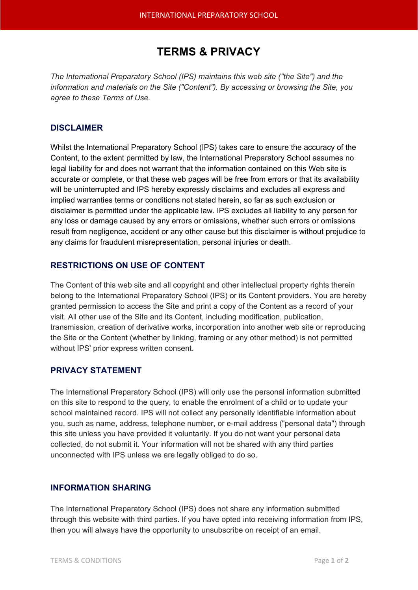# **TERMS & PRIVACY**

*The International Preparatory School (IPS) maintains this web site ("the Site") and the information and materials on the Site ("Content"). By accessing or browsing the Site, you agree to these Terms of Use.*

#### **DISCLAIMER**

Whilst the International Preparatory School (IPS) takes care to ensure the accuracy of the Content, to the extent permitted by law, the International Preparatory School assumes no legal liability for and does not warrant that the information contained on this Web site is accurate or complete, or that these web pages will be free from errors or that its availability will be uninterrupted and IPS hereby expressly disclaims and excludes all express and implied warranties terms or conditions not stated herein, so far as such exclusion or disclaimer is permitted under the applicable law. IPS excludes all liability to any person for any loss or damage caused by any errors or omissions, whether such errors or omissions result from negligence, accident or any other cause but this disclaimer is without prejudice to any claims for fraudulent misrepresentation, personal injuries or death.

## **RESTRICTIONS ON USE OF CONTENT**

The Content of this web site and all copyright and other intellectual property rights therein belong to the International Preparatory School (IPS) or its Content providers. You are hereby granted permission to access the Site and print a copy of the Content as a record of your visit. All other use of the Site and its Content, including modification, publication, transmission, creation of derivative works, incorporation into another web site or reproducing the Site or the Content (whether by linking, framing or any other method) is not permitted without IPS' prior express written consent.

## **PRIVACY STATEMENT**

The International Preparatory School (IPS) will only use the personal information submitted on this site to respond to the query, to enable the enrolment of a child or to update your school maintained record. IPS will not collect any personally identifiable information about you, such as name, address, telephone number, or e-mail address ("personal data") through this site unless you have provided it voluntarily. If you do not want your personal data collected, do not submit it. Your information will not be shared with any third parties unconnected with IPS unless we are legally obliged to do so.

## **INFORMATION SHARING**

The International Preparatory School (IPS) does not share any information submitted through this website with third parties. If you have opted into receiving information from IPS, then you will always have the opportunity to unsubscribe on receipt of an email.